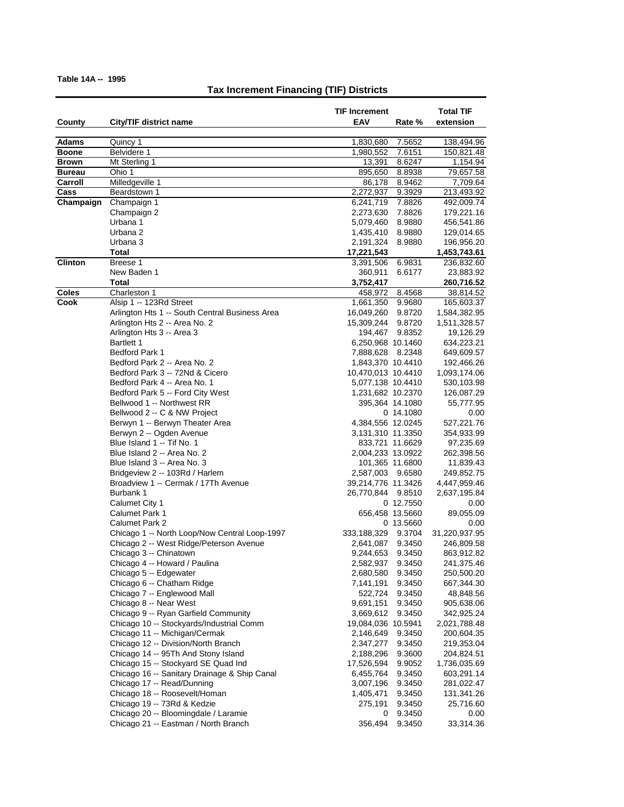| County        | City/TIF district name                                     | <b>TIF Increment</b><br>EAV  | Rate %           | <b>Total TIF</b><br>extension |
|---------------|------------------------------------------------------------|------------------------------|------------------|-------------------------------|
| <b>Adams</b>  | Quincy 1                                                   | 1,830,680                    | 7.5652           | 138,494.96                    |
| <b>Boone</b>  | Belvidere 1                                                | 1,980,552                    | 7.6151           | 150,821.48                    |
| <b>Brown</b>  | Mt Sterling 1                                              | 13,391                       | 8.6247           | 1,154.94                      |
| <b>Bureau</b> | Ohio 1                                                     | 895,650                      | 8.8938           | 79,657.58                     |
| Carroll       | Milledgeville 1                                            | 86,178                       | 8.9462           | 7,709.64                      |
| Cass          | Beardstown 1                                               | 2,272,937                    | 9.3929           | 213,493.92                    |
| Champaign     | Champaign 1                                                | 6,241,719                    | 7.8826           | 492,009.74                    |
|               | Champaign 2                                                | 2,273,630                    | 7.8826           | 179,221.16                    |
|               | Urbana 1                                                   | 5,079,460                    | 8.9880           | 456,541.86                    |
|               | Urbana 2                                                   | 1,435,410                    | 8.9880           | 129,014.65                    |
|               | Urbana 3                                                   | 2,191,324                    | 8.9880           | 196,956.20                    |
|               | <b>Total</b>                                               | 17,221,543                   |                  | 1,453,743.61                  |
| Clinton       | Breese 1                                                   | 3,391,506                    | 6.9831           | 236,832.60                    |
|               | New Baden 1                                                | 360,911                      | 6.6177           | 23,883.92                     |
|               | Total                                                      | 3,752,417                    |                  | 260,716.52                    |
| Coles         | Charleston 1                                               | 458,972                      | 8.4568           | 38,814.52                     |
| Cook          | Alsip 1 -- 123Rd Street                                    | 1,661,350                    | 9.9680           | 165,603.37                    |
|               | Arlington Hts 1 -- South Central Business Area             | 16,049,260                   | 9.8720           | 1,584,382.95                  |
|               | Arlington Hts 2 -- Area No. 2<br>Arlington Hts 3 -- Area 3 | 15,309,244                   | 9.8720           | 1,511,328.57                  |
|               | Bartlett 1                                                 | 194,467<br>6,250,968 10.1460 | 9.8352           | 19,126.29                     |
|               | <b>Bedford Park 1</b>                                      | 7,888,628 8.2348             |                  | 634,223.21<br>649,609.57      |
|               | Bedford Park 2 -- Area No. 2                               | 1,843,370 10.4410            |                  | 192,466.26                    |
|               | Bedford Park 3 -- 72Nd & Cicero                            | 10,470,013 10.4410           |                  | 1,093,174.06                  |
|               | Bedford Park 4 -- Area No. 1                               | 5,077,138 10.4410            |                  | 530,103.98                    |
|               | Bedford Park 5 -- Ford City West                           | 1,231,682 10.2370            |                  | 126,087.29                    |
|               | Bellwood 1 -- Northwest RR                                 |                              | 395,364 14.1080  | 55,777.95                     |
|               | Bellwood 2 -- C & NW Project                               |                              | 0 14.1080        | 0.00                          |
|               | Berwyn 1 -- Berwyn Theater Area                            | 4,384,556 12.0245            |                  | 527,221.76                    |
|               | Berwyn 2 -- Ogden Avenue                                   | 3,131,310 11.3350            |                  | 354,933.99                    |
|               | Blue Island 1 -- Tif No. 1                                 |                              | 833,721 11.6629  | 97,235.69                     |
|               | Blue Island 2 -- Area No. 2                                | 2,004,233 13.0922            |                  | 262,398.56                    |
|               | Blue Island 3 -- Area No. 3                                |                              | 101,365 11.6800  | 11,839.43                     |
|               | Bridgeview 2 -- 103Rd / Harlem                             | 2,587,003 9.6580             |                  | 249,852.75                    |
|               | Broadview 1 -- Cermak / 17Th Avenue                        | 39,214,776 11.3426           |                  | 4,447,959.46                  |
|               | Burbank 1                                                  | 26,770,844                   | 9.8510           | 2,637,195.84                  |
|               | Calumet City 1                                             |                              | 0 12.7550        | 0.00                          |
|               | <b>Calumet Park 1</b>                                      |                              | 656,458 13.5660  | 89,055.09                     |
|               | Calumet Park 2                                             |                              | 0 13.5660        | 0.00                          |
|               | Chicago 1 -- North Loop/Now Central Loop-1997              | 333,188,329                  | 9.3704           | 31,220,937.95                 |
|               | Chicago 2 -- West Ridge/Peterson Avenue                    | 2,641,087                    | 9.3450           | 246,809.58                    |
|               | Chicago 3 -- Chinatown                                     | 9,244,653                    | 9.3450           | 863,912.82                    |
|               | Chicago 4 -- Howard / Paulina<br>Chicago 5 -- Edgewater    | 2,582,937                    | 9.3450           | 241,375.46                    |
|               |                                                            | 2,680,580                    | 9.3450           | 250,500.20                    |
|               | Chicago 6 -- Chatham Ridge<br>Chicago 7 -- Englewood Mall  | 7,141,191<br>522,724         | 9.3450<br>9.3450 | 667,344.30<br>48,848.56       |
|               | Chicago 8 -- Near West                                     | 9,691,151                    | 9.3450           | 905,638.06                    |
|               | Chicago 9 -- Ryan Garfield Community                       | 3,669,612                    | 9.3450           | 342,925.24                    |
|               | Chicago 10 -- Stockyards/Industrial Comm                   | 19,084,036 10.5941           |                  | 2,021,788.48                  |
|               | Chicago 11 -- Michigan/Cermak                              | 2,146,649                    | 9.3450           | 200,604.35                    |
|               | Chicago 12 -- Division/North Branch                        | 2,347,277                    | 9.3450           | 219,353.04                    |
|               | Chicago 14 -- 95Th And Stony Island                        | 2,188,296                    | 9.3600           | 204,824.51                    |
|               | Chicago 15 -- Stockyard SE Quad Ind                        | 17,526,594                   | 9.9052           | 1,736,035.69                  |
|               | Chicago 16 -- Sanitary Drainage & Ship Canal               | 6,455,764                    | 9.3450           | 603,291.14                    |
|               | Chicago 17 -- Read/Dunning                                 | 3,007,196                    | 9.3450           | 281,022.47                    |
|               | Chicago 18 -- Roosevelt/Homan                              | 1,405,471                    | 9.3450           | 131,341.26                    |
|               | Chicago 19 -- 73Rd & Kedzie                                | 275,191                      | 9.3450           | 25,716.60                     |
|               | Chicago 20 -- Bloomingdale / Laramie                       | 0                            | 9.3450           | 0.00                          |
|               | Chicago 21 -- Eastman / North Branch                       | 356,494                      | 9.3450           | 33,314.36                     |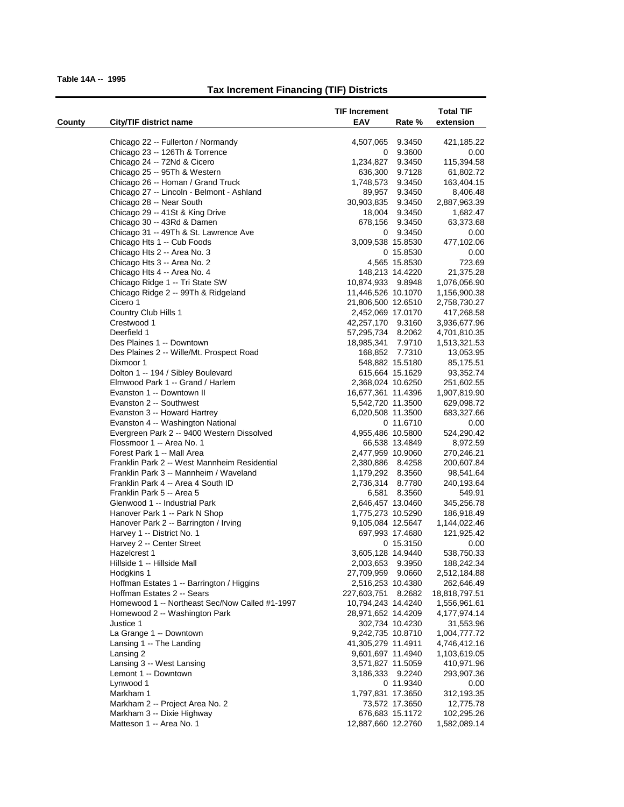|        |                                                                   | <b>TIF Increment</b> |                  | <b>Total TIF</b>         |
|--------|-------------------------------------------------------------------|----------------------|------------------|--------------------------|
| County | City/TIF district name                                            | EAV                  | Rate %           | extension                |
|        |                                                                   |                      |                  |                          |
|        | Chicago 22 -- Fullerton / Normandy                                | 4,507,065            | 9.3450           | 421,185.22               |
|        | Chicago 23 -- 126Th & Torrence                                    | 0                    | 9.3600<br>9.3450 | 0.00                     |
|        | Chicago 24 -- 72Nd & Cicero                                       | 1,234,827            |                  | 115,394.58               |
|        | Chicago 25 -- 95Th & Western<br>Chicago 26 -- Homan / Grand Truck | 636,300<br>1,748,573 | 9.7128<br>9.3450 | 61,802.72<br>163,404.15  |
|        | Chicago 27 -- Lincoln - Belmont - Ashland                         |                      | 9.3450           |                          |
|        | Chicago 28 -- Near South                                          | 89,957<br>30,903,835 | 9.3450           | 8,406.48<br>2,887,963.39 |
|        | Chicago 29 -- 41St & King Drive                                   | 18,004               | 9.3450           | 1,682.47                 |
|        | Chicago 30 -- 43Rd & Damen                                        | 678,156              | 9.3450           | 63,373.68                |
|        | Chicago 31 -- 49Th & St. Lawrence Ave                             | 0                    | 9.3450           | 0.00                     |
|        | Chicago Hts 1 -- Cub Foods                                        | 3,009,538 15.8530    |                  | 477,102.06               |
|        | Chicago Hts 2 -- Area No. 3                                       |                      | 0 15.8530        | 0.00                     |
|        | Chicago Hts 3 -- Area No. 2                                       |                      | 4,565 15.8530    | 723.69                   |
|        | Chicago Hts 4 -- Area No. 4                                       | 148,213 14.4220      |                  | 21,375.28                |
|        | Chicago Ridge 1 -- Tri State SW                                   | 10,874,933 9.8948    |                  | 1,076,056.90             |
|        | Chicago Ridge 2 -- 99Th & Ridgeland                               | 11,446,526 10.1070   |                  | 1,156,900.38             |
|        | Cicero 1                                                          | 21,806,500 12.6510   |                  | 2,758,730.27             |
|        | Country Club Hills 1                                              | 2,452,069 17.0170    |                  | 417,268.58               |
|        | Crestwood 1                                                       | 42,257,170 9.3160    |                  | 3,936,677.96             |
|        | Deerfield 1                                                       | 57,295,734           | 8.2062           | 4,701,810.35             |
|        | Des Plaines 1 -- Downtown                                         | 18,985,341           | 7.9710           | 1,513,321.53             |
|        | Des Plaines 2 -- Wille/Mt. Prospect Road                          | 168,852 7.7310       |                  | 13,053.95                |
|        | Dixmoor 1                                                         | 548,882 15.5180      |                  | 85,175.51                |
|        | Dolton 1 -- 194 / Sibley Boulevard                                | 615,664 15.1629      |                  | 93,352.74                |
|        | Elmwood Park 1 -- Grand / Harlem                                  | 2,368,024 10.6250    |                  | 251,602.55               |
|        | Evanston 1 -- Downtown II                                         | 16,677,361 11.4396   |                  | 1,907,819.90             |
|        | Evanston 2 -- Southwest                                           | 5,542,720 11.3500    |                  | 629,098.72               |
|        | Evanston 3 -- Howard Hartrey                                      | 6,020,508 11.3500    |                  | 683,327.66               |
|        | Evanston 4 -- Washington National                                 |                      | 0 11.6710        | 0.00                     |
|        | Evergreen Park 2 -- 9400 Western Dissolved                        | 4,955,486 10.5800    |                  | 524,290.42               |
|        | Flossmoor 1 -- Area No. 1                                         |                      | 66,538 13.4849   | 8,972.59                 |
|        | Forest Park 1 -- Mall Area                                        | 2,477,959 10.9060    |                  | 270,246.21               |
|        | Franklin Park 2 -- West Mannheim Residential                      | 2,380,886 8.4258     |                  | 200,607.84               |
|        | Franklin Park 3 -- Mannheim / Waveland                            | 1,179,292 8.3560     |                  | 98,541.64                |
|        | Franklin Park 4 -- Area 4 South ID                                | 2,736,314 8.7780     |                  | 240,193.64               |
|        | Franklin Park 5 -- Area 5                                         | 6,581                | 8.3560           | 549.91                   |
|        | Glenwood 1 -- Industrial Park                                     | 2,646,457 13.0460    |                  | 345,256.78               |
|        | Hanover Park 1 -- Park N Shop                                     | 1,775,273 10.5290    |                  | 186,918.49               |
|        | Hanover Park 2 -- Barrington / Irving                             | 9,105,084 12.5647    |                  | 1,144,022.46             |
|        | Harvey 1 -- District No. 1                                        | 697,993 17.4680      |                  | 121,925.42               |
|        | Harvey 2 -- Center Street                                         |                      | 0 15.3150        | 0.00                     |
|        | Hazelcrest 1                                                      | 3,605,128 14.9440    |                  | 538,750.33               |
|        | Hillside 1 -- Hillside Mall                                       | 2,003,653 9.3950     |                  | 188,242.34               |
|        | Hodgkins 1                                                        | 27,709,959           | 9.0660           | 2,512,184.88             |
|        | Hoffman Estates 1 -- Barrington / Higgins                         | 2,516,253 10.4380    |                  | 262,646.49               |
|        | Hoffman Estates 2 -- Sears                                        | 227,603,751          | 8.2682           | 18,818,797.51            |
|        | Homewood 1 -- Northeast Sec/Now Called #1-1997                    | 10,794,243 14.4240   |                  | 1,556,961.61             |
|        | Homewood 2 -- Washington Park                                     | 28,971,652 14.4209   |                  | 4,177,974.14             |
|        | Justice 1                                                         | 302,734 10.4230      |                  | 31,553.96                |
|        | La Grange 1 -- Downtown                                           | 9,242,735 10.8710    |                  | 1,004,777.72             |
|        | Lansing 1 -- The Landing                                          | 41,305,279 11.4911   |                  | 4,746,412.16             |
|        | Lansing 2                                                         | 9,601,697 11.4940    |                  | 1,103,619.05             |
|        | Lansing 3 -- West Lansing                                         | 3,571,827 11.5059    |                  | 410,971.96               |
|        | Lemont 1 -- Downtown                                              | 3,186,333 9.2240     |                  | 293,907.36               |
|        | Lynwood 1                                                         |                      | 0 11.9340        | 0.00                     |
|        | Markham 1                                                         | 1,797,831 17.3650    |                  | 312,193.35               |
|        | Markham 2 -- Project Area No. 2                                   |                      | 73,572 17.3650   | 12,775.78                |
|        | Markham 3 -- Dixie Highway                                        | 676,683 15.1172      |                  | 102,295.26               |
|        | Matteson 1 -- Area No. 1                                          | 12,887,660 12.2760   |                  | 1,582,089.14             |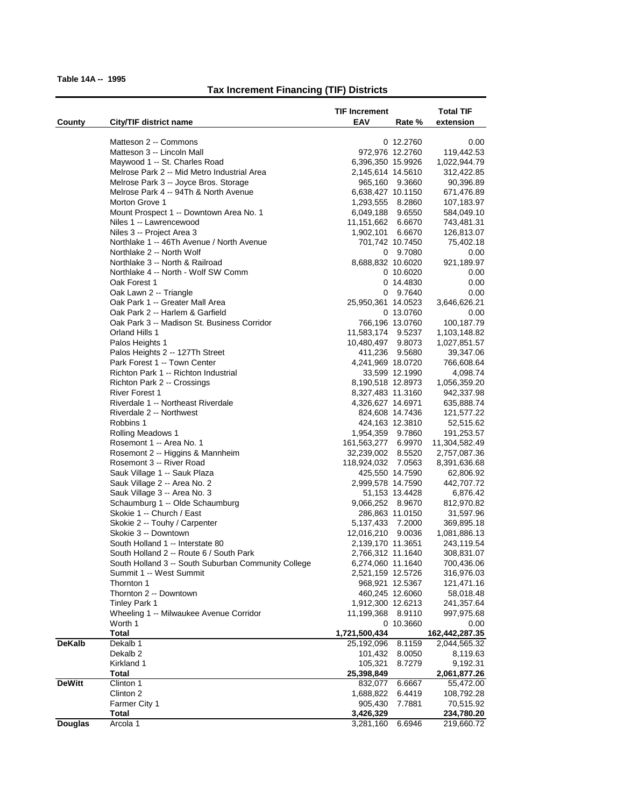|                |                                                     | <b>TIF Increment</b>            |                              | <b>Total TIF</b>              |
|----------------|-----------------------------------------------------|---------------------------------|------------------------------|-------------------------------|
| County         | City/TIF district name                              | <b>EAV</b>                      | Rate %                       | extension                     |
|                | Matteson 2 -- Commons                               |                                 |                              |                               |
|                | Matteson 3 -- Lincoln Mall                          |                                 | 0 12.2760<br>972,976 12.2760 | 0.00<br>119,442.53            |
|                | Maywood 1 -- St. Charles Road                       | 6,396,350 15.9926               |                              | 1,022,944.79                  |
|                | Melrose Park 2 -- Mid Metro Industrial Area         | 2,145,614 14.5610               |                              | 312,422.85                    |
|                | Melrose Park 3 -- Joyce Bros. Storage               |                                 | 965,160 9.3660               | 90,396.89                     |
|                | Melrose Park 4 -- 94Th & North Avenue               | 6,638,427 10.1150               |                              | 671,476.89                    |
|                | Morton Grove 1                                      | 1,293,555 8.2860                |                              | 107,183.97                    |
|                | Mount Prospect 1 -- Downtown Area No. 1             | 6,049,188 9.6550                |                              | 584,049.10                    |
|                | Niles 1 -- Lawrencewood                             | 11,151,662 6.6670               |                              | 743,481.31                    |
|                | Niles 3 -- Project Area 3                           | 1,902,101                       | 6.6670                       | 126,813.07                    |
|                | Northlake 1 -- 46Th Avenue / North Avenue           |                                 | 701,742 10.7450              | 75,402.18                     |
|                | Northlake 2 -- North Wolf                           |                                 | 0 9.7080                     | 0.00                          |
|                | Northlake 3 -- North & Railroad                     | 8,688,832 10.6020               |                              | 921,189.97                    |
|                | Northlake 4 -- North - Wolf SW Comm                 |                                 | 0 10.6020                    | 0.00                          |
|                | Oak Forest 1                                        |                                 | 0 14.4830                    | 0.00                          |
|                | Oak Lawn 2 -- Triangle                              |                                 | 0 9.7640                     | 0.00                          |
|                | Oak Park 1 -- Greater Mall Area                     | 25,950,361 14.0523              |                              | 3,646,626.21                  |
|                | Oak Park 2 -- Harlem & Garfield                     |                                 | 0 13.0760                    | 0.00                          |
|                | Oak Park 3 -- Madison St. Business Corridor         |                                 | 766,196 13.0760              | 100,187.79                    |
|                | Orland Hills 1                                      | 11,583,174 9.5237               |                              | 1,103,148.82                  |
|                | Palos Heights 1                                     | 10,480,497                      | 9.8073                       | 1,027,851.57                  |
|                | Palos Heights 2 -- 127Th Street                     |                                 | 411,236 9.5680               | 39,347.06                     |
|                | Park Forest 1 -- Town Center                        | 4,241,969 18.0720               |                              | 766,608.64                    |
|                | Richton Park 1 -- Richton Industrial                |                                 | 33,599 12.1990               | 4,098.74                      |
|                | Richton Park 2 -- Crossings                         | 8,190,518 12.8973               |                              | 1,056,359.20                  |
|                | <b>River Forest 1</b>                               | 8,327,483 11.3160               |                              | 942,337.98                    |
|                | Riverdale 1 -- Northeast Riverdale                  | 4,326,627 14.6971               |                              | 635,888.74                    |
|                | Riverdale 2 -- Northwest                            |                                 | 824,608 14.7436              | 121,577.22                    |
|                | Robbins 1                                           |                                 | 424,163 12.3810              | 52,515.62                     |
|                | Rolling Meadows 1<br>Rosemont 1 -- Area No. 1       | 1,954,359 9.7860<br>161,563,277 | 6.9970                       | 191,253.57                    |
|                | Rosemont 2 -- Higgins & Mannheim                    | 32,239,002 8.5520               |                              | 11,304,582.49<br>2,757,087.36 |
|                | Rosemont 3 -- River Road                            | 118,924,032 7.0563              |                              | 8,391,636.68                  |
|                | Sauk Village 1 -- Sauk Plaza                        |                                 | 425,550 14.7590              | 62,806.92                     |
|                | Sauk Village 2 -- Area No. 2                        | 2,999,578 14.7590               |                              | 442,707.72                    |
|                | Sauk Village 3 -- Area No. 3                        |                                 | 51,153 13.4428               | 6,876.42                      |
|                | Schaumburg 1 -- Olde Schaumburg                     | 9,066,252 8.9670                |                              | 812,970.82                    |
|                | Skokie 1 -- Church / East                           |                                 | 286,863 11.0150              | 31,597.96                     |
|                | Skokie 2 - Touhy / Carpenter                        | 5,137,433 7.2000                |                              | 369,895.18                    |
|                | Skokie 3 -- Downtown                                | 12,016,210                      | 9.0036                       | 1,081,886.13                  |
|                | South Holland 1 -- Interstate 80                    | 2,139,170 11.3651               |                              | 243,119.54                    |
|                | South Holland 2 -- Route 6 / South Park             | 2,766,312 11.1640               |                              | 308,831.07                    |
|                | South Holland 3 -- South Suburban Community College | 6,274,060 11.1640               |                              | 700,436.06                    |
|                | Summit 1 -- West Summit                             | 2,521,159 12.5726               |                              | 316,976.03                    |
|                | Thornton 1                                          |                                 | 968,921 12.5367              | 121,471.16                    |
|                | Thornton 2 -- Downtown                              |                                 | 460,245 12.6060              | 58,018.48                     |
|                | <b>Tinley Park 1</b>                                | 1,912,300 12.6213               |                              | 241,357.64                    |
|                | Wheeling 1 -- Milwaukee Avenue Corridor             | 11,199,368 8.9110               |                              | 997,975.68                    |
|                | Worth 1                                             |                                 | 0 10.3660                    | 0.00                          |
|                | <b>Total</b>                                        | 1,721,500,434                   |                              | 162,442,287.35                |
| <b>DeKalb</b>  | Dekalb 1                                            | 25,192,096                      | 8.1159                       | 2,044,565.32                  |
|                | Dekalb <sub>2</sub><br>Kirkland 1                   | 101,432<br>105,321              | 8.0050                       | 8,119.63                      |
|                | <b>Total</b>                                        | 25,398,849                      | 8.7279                       | 9,192.31<br>2,061,877.26      |
| <b>DeWitt</b>  | Clinton 1                                           | 832,077                         | 6.6667                       | 55,472.00                     |
|                | Clinton 2                                           | 1,688,822                       | 6.4419                       | 108,792.28                    |
|                | Farmer City 1                                       | 905,430                         | 7.7881                       | 70,515.92                     |
|                | <b>Total</b>                                        | 3,426,329                       |                              | 234,780.20                    |
| <b>Douglas</b> | Arcola 1                                            | 3,281,160                       | 6.6946                       | 219,660.72                    |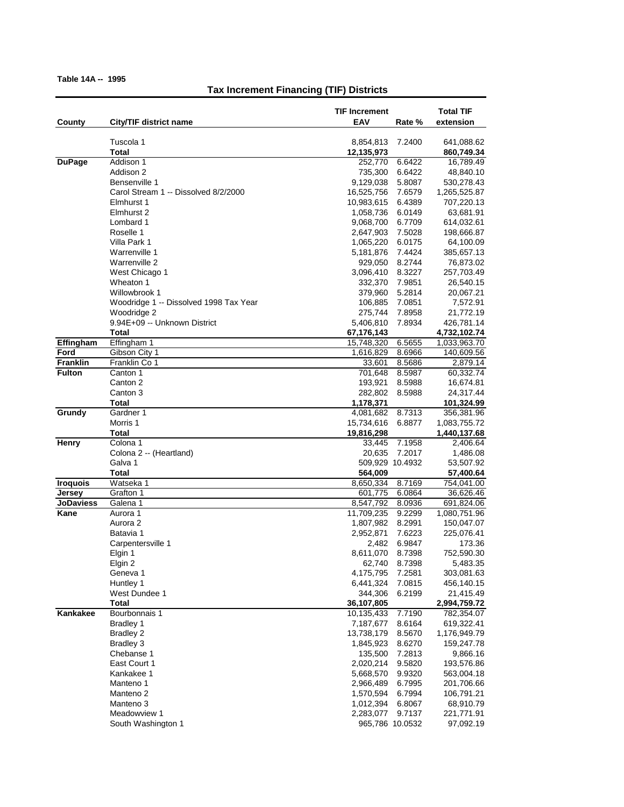|                  |                                        | TIF Increment            |                  | <b>Total TIF</b>             |
|------------------|----------------------------------------|--------------------------|------------------|------------------------------|
| County           | City/TIF district name                 | EAV                      | Rate %           | extension                    |
|                  | Tuscola 1                              | 8,854,813                | 7.2400           | 641,088.62                   |
|                  | Total                                  | 12,135,973               |                  | 860,749.34                   |
| <b>DuPage</b>    | Addison 1                              | 252,770                  | 6.6422           | 16,789.49                    |
|                  | Addison 2                              | 735,300                  | 6.6422           | 48,840.10                    |
|                  | Bensenville 1                          | 9,129,038                | 5.8087           | 530,278.43                   |
|                  | Carol Stream 1 -- Dissolved 8/2/2000   | 16,525,756               | 7.6579           | 1,265,525.87                 |
|                  | Elmhurst 1                             | 10,983,615               | 6.4389           | 707,220.13                   |
|                  | Elmhurst 2                             | 1,058,736                | 6.0149           | 63,681.91                    |
|                  | Lombard 1                              | 9,068,700                | 6.7709           | 614,032.61                   |
|                  | Roselle 1                              | 2,647,903                | 7.5028           | 198,666.87                   |
|                  | Villa Park 1<br>Warrenville 1          | 1,065,220                | 6.0175           | 64,100.09                    |
|                  | Warrenville 2                          | 5,181,876<br>929,050     | 7.4424<br>8.2744 | 385,657.13                   |
|                  | West Chicago 1                         | 3,096,410                | 8.3227           | 76,873.02<br>257,703.49      |
|                  | Wheaton 1                              | 332,370                  | 7.9851           | 26,540.15                    |
|                  | Willowbrook 1                          | 379,960                  | 5.2814           | 20,067.21                    |
|                  | Woodridge 1 -- Dissolved 1998 Tax Year | 106,885                  | 7.0851           | 7,572.91                     |
|                  | Woodridge 2                            | 275,744                  | 7.8958           | 21,772.19                    |
|                  | 9.94E+09 -- Unknown District           | 5,406,810                | 7.8934           | 426,781.14                   |
|                  | Total                                  | 67,176,143               |                  | 4,732,102.74                 |
| Effingham        | Effingham 1                            | 15,748,320               | 6.5655           | 1,033,963.70                 |
| Ford             | Gibson City 1                          | 1,616,829                | 8.6966           | 140,609.56                   |
| Franklin         | Franklin Co 1                          | 33,601                   | 8.5686           | 2,879.14                     |
| <b>Fulton</b>    | Canton 1                               | 701,648                  | 8.5987           | 60,332.74                    |
|                  | Canton 2                               | 193,921                  | 8.5988           | 16,674.81                    |
|                  | Canton 3                               | 282,802                  | 8.5988           | 24,317.44                    |
|                  | Total                                  | 1,178,371                |                  | 101,324.99                   |
| Grundy           | Gardner 1<br>Morris 1                  | 4,081,682                | 8.7313           | 356,381.96                   |
|                  | Total                                  | 15,734,616<br>19,816,298 | 6.8877           | 1,083,755.72<br>1,440,137.68 |
| Henry            | Colona 1                               | 33,445                   | 7.1958           | 2,406.64                     |
|                  | Colona 2 -- (Heartland)                | 20,635                   | 7.2017           | 1,486.08                     |
|                  | Galva 1                                | 509,929 10.4932          |                  | 53,507.92                    |
|                  | <b>Total</b>                           | 564,009                  |                  | 57,400.64                    |
| <b>Iroquois</b>  | Watseka 1                              | 8,650,334                | 8.7169           | 754,041.00                   |
| Jersey           | Grafton 1                              | 601,775                  | 6.0864           | 36,626.46                    |
| <b>JoDaviess</b> | Galena 1                               | 8,547,792                | 8.0936           | 691,824.06                   |
| Kane             | Aurora 1                               | 11,709,235               | 9.2299           | 1,080,751.96                 |
|                  | Aurora 2                               | 1,807,982                | 8.2991           | 150,047.07                   |
|                  | Batavia 1                              | 2,952,871                | 7.6223           | 225,076.41                   |
|                  | Carpentersville 1                      | 2,482                    | 6.9847           | 173.36                       |
|                  | Elgin 1                                | 8,611,070                | 8.7398           | 752,590.30                   |
|                  | Elgin 2                                | 62,740                   | 8.7398           | 5,483.35                     |
|                  | Geneva 1<br>Huntley 1                  | 4,175,795<br>6,441,324   | 7.2581<br>7.0815 | 303,081.63<br>456,140.15     |
|                  | West Dundee 1                          | 344,306                  | 6.2199           | 21,415.49                    |
|                  | Total                                  | 36,107,805               |                  | 2,994,759.72                 |
| Kankakee         | Bourbonnais 1                          | 10,135,433               | 7.7190           | 782,354.07                   |
|                  | Bradley 1                              | 7,187,677                | 8.6164           | 619,322.41                   |
|                  | <b>Bradley 2</b>                       | 13,738,179               | 8.5670           | 1,176,949.79                 |
|                  | Bradley 3                              | 1,845,923                | 8.6270           | 159,247.78                   |
|                  | Chebanse 1                             | 135,500                  | 7.2813           | 9,866.16                     |
|                  | East Court 1                           | 2,020,214                | 9.5820           | 193,576.86                   |
|                  | Kankakee 1                             | 5,668,570                | 9.9320           | 563,004.18                   |
|                  | Manteno 1                              | 2,966,489                | 6.7995           | 201,706.66                   |
|                  | Manteno <sub>2</sub>                   | 1,570,594                | 6.7994           | 106,791.21                   |
|                  | Manteno 3                              | 1,012,394                | 6.8067           | 68,910.79                    |
|                  | Meadowview 1                           | 2,283,077                | 9.7137           | 221,771.91                   |
|                  | South Washington 1                     | 965,786 10.0532          |                  | 97,092.19                    |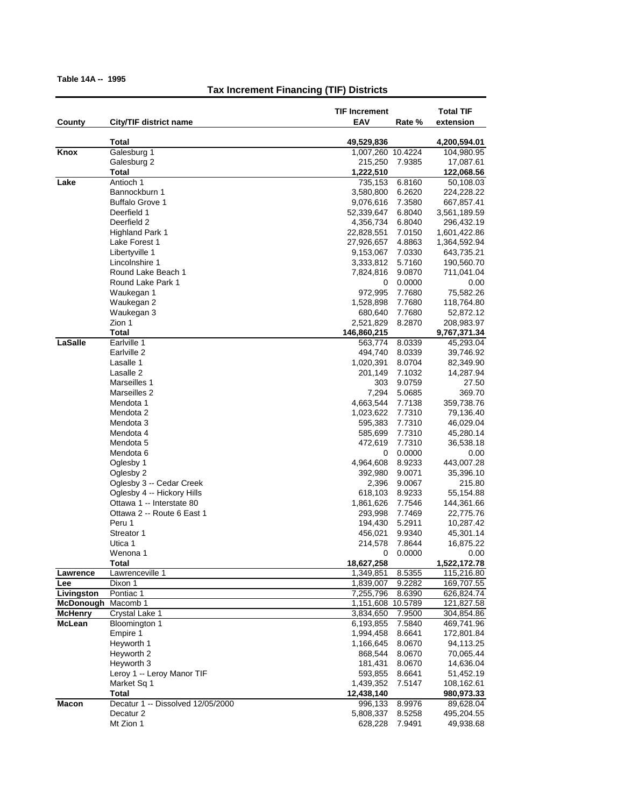|                    |                                                         | <b>TIF Increment</b>    |                  | <b>Total TIF</b>           |
|--------------------|---------------------------------------------------------|-------------------------|------------------|----------------------------|
| County             | City/TIF district name                                  | EAV                     | Rate %           | extension                  |
|                    | Total                                                   | 49,529,836              |                  | 4,200,594.01               |
| Knox               | Galesburg 1                                             | 1,007,260 10.4224       |                  | 104,980.95                 |
|                    | Galesburg 2                                             | 215,250                 | 7.9385           | 17,087.61                  |
|                    | Total                                                   | 1,222,510               |                  | 122,068.56                 |
| Lake               | Antioch 1                                               | 735,153                 | 6.8160           | 50,108.03                  |
|                    | Bannockburn 1                                           | 3,580,800               | 6.2620           | 224,228.22                 |
|                    | <b>Buffalo Grove 1</b><br>Deerfield 1                   | 9,076,616<br>52,339,647 | 7.3580<br>6.8040 | 667,857.41                 |
|                    | Deerfield 2                                             | 4,356,734               | 6.8040           | 3,561,189.59<br>296,432.19 |
|                    | <b>Highland Park 1</b>                                  | 22,828,551              | 7.0150           | 1,601,422.86               |
|                    | Lake Forest 1                                           | 27,926,657              | 4.8863           | 1,364,592.94               |
|                    | Libertyville 1                                          | 9,153,067               | 7.0330           | 643,735.21                 |
|                    | Lincolnshire 1                                          | 3,333,812               | 5.7160           | 190,560.70                 |
|                    | Round Lake Beach 1                                      | 7,824,816               | 9.0870           | 711,041.04                 |
|                    | Round Lake Park 1                                       | 0                       | 0.0000           | 0.00                       |
|                    | Waukegan 1                                              | 972,995                 | 7.7680           | 75,582.26                  |
|                    | Waukegan 2                                              | 1,528,898               | 7.7680           | 118,764.80                 |
|                    | Waukegan 3                                              | 680,640                 | 7.7680           | 52,872.12                  |
|                    | Zion 1                                                  | 2,521,829               | 8.2870           | 208,983.97                 |
|                    | Total                                                   | 146,860,215             |                  | 9,767,371.34               |
| LaSalle            | Earlville 1                                             | 563,774                 | 8.0339           | 45,293.04                  |
|                    | Earlville 2                                             | 494,740                 | 8.0339           | 39,746.92                  |
|                    | Lasalle 1<br>Lasalle 2                                  | 1,020,391<br>201,149    | 8.0704<br>7.1032 | 82,349.90<br>14,287.94     |
|                    | Marseilles 1                                            | 303                     | 9.0759           | 27.50                      |
|                    | Marseilles 2                                            | 7,294                   | 5.0685           | 369.70                     |
|                    | Mendota 1                                               | 4,663,544               | 7.7138           | 359,738.76                 |
|                    | Mendota 2                                               | 1,023,622               | 7.7310           | 79,136.40                  |
|                    | Mendota 3                                               | 595,383                 | 7.7310           | 46,029.04                  |
|                    | Mendota 4                                               | 585,699                 | 7.7310           | 45,280.14                  |
|                    | Mendota 5                                               | 472,619                 | 7.7310           | 36,538.18                  |
|                    | Mendota 6                                               | 0                       | 0.0000           | 0.00                       |
|                    | Oglesby 1                                               | 4,964,608               | 8.9233           | 443,007.28                 |
|                    | Oglesby 2                                               | 392,980                 | 9.0071           | 35,396.10                  |
|                    | Oglesby 3 -- Cedar Creek                                | 2,396                   | 9.0067           | 215.80                     |
|                    | Oglesby 4 -- Hickory Hills                              | 618,103                 | 8.9233           | 55,154.88                  |
|                    | Ottawa 1 -- Interstate 80<br>Ottawa 2 -- Route 6 East 1 | 1,861,626               | 7.7546           | 144,361.66                 |
|                    | Peru 1                                                  | 293,998<br>194,430      | 7.7469<br>5.2911 | 22,775.76<br>10,287.42     |
|                    | Streator 1                                              | 456,021                 | 9.9340           | 45,301.14                  |
|                    | Utica 1                                                 | 214,578                 | 7.8644           | 16,875.22                  |
|                    | Wenona 1                                                | 0                       | 0.0000           | 0.00                       |
|                    | Total                                                   | 18,627,258              |                  | 1,522,172.78               |
| Lawrence           | Lawrenceville 1                                         | 1,349,851               | 8.5355           | 115,216.80                 |
| Lee                | Dixon 1                                                 | 1,839,007               | 9.2282           | 169,707.55                 |
| Livingston         | Pontiac 1                                               | 7,255,796               | 8.6390           | 626,824.74                 |
| McDonough Macomb 1 |                                                         | 1,151,608               | 10.5789          | 121,827.58                 |
| <b>McHenry</b>     | Crystal Lake 1                                          | 3,834,650               | 7.9500           | 304,854.86                 |
| McLean             | Bloomington 1                                           | 6,193,855               | 7.5840           | 469,741.96                 |
|                    | Empire 1<br>Heyworth 1                                  | 1,994,458               | 8.6641<br>8.0670 | 172,801.84                 |
|                    | Heyworth 2                                              | 1,166,645<br>868,544    | 8.0670           | 94,113.25<br>70,065.44     |
|                    | Heyworth 3                                              | 181,431                 | 8.0670           | 14,636.04                  |
|                    | Leroy 1 -- Leroy Manor TIF                              | 593,855                 | 8.6641           | 51,452.19                  |
|                    | Market Sq 1                                             | 1,439,352               | 7.5147           | 108,162.61                 |
|                    | <b>Total</b>                                            | 12,438,140              |                  | 980,973.33                 |
| <b>Macon</b>       | Decatur 1 -- Dissolved 12/05/2000                       | 996,133                 | 8.9976           | 89,628.04                  |
|                    | Decatur <sub>2</sub>                                    | 5,808,337               | 8.5258           | 495,204.55                 |
|                    | Mt Zion 1                                               | 628,228                 | 7.9491           | 49,938.68                  |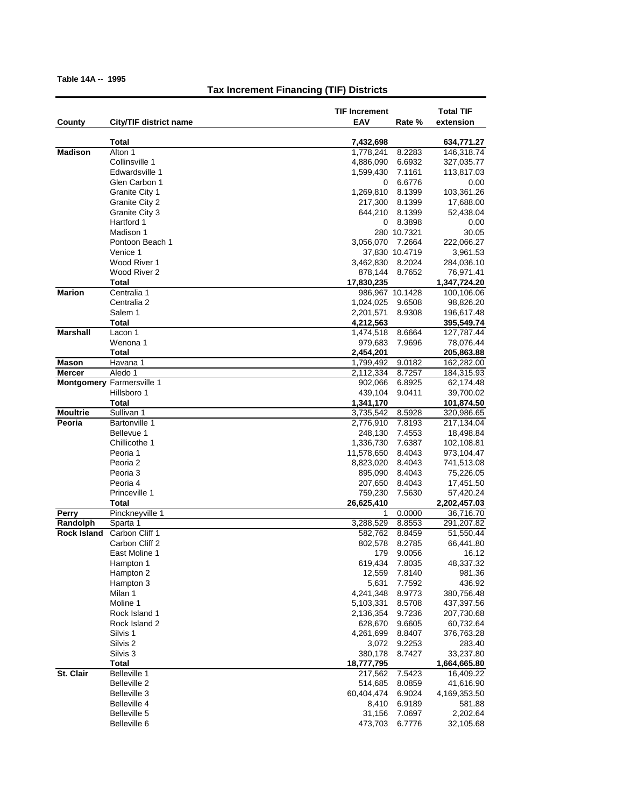|                    |                                  | <b>TIF Increment</b>   |                 | <b>Total TIF</b>        |
|--------------------|----------------------------------|------------------------|-----------------|-------------------------|
| County             | City/TIF district name           | <b>EAV</b>             | Rate %          | extension               |
|                    | Total                            | 7,432,698              |                 | 634,771.27              |
| <b>Madison</b>     | Alton 1                          | 1,778,241              | 8.2283          | 146,318.74              |
|                    | Collinsville 1                   | 4,886,090              | 6.6932          | 327,035.77              |
|                    | Edwardsville 1                   | 1,599,430              | 7.1161          | 113,817.03              |
|                    | Glen Carbon 1                    | 0                      | 6.6776          | 0.00                    |
|                    | Granite City 1                   | 1,269,810              | 8.1399          | 103,361.26              |
|                    | Granite City 2                   | 217,300                | 8.1399          | 17,688.00               |
|                    | Granite City 3                   | 644,210                | 8.1399          | 52,438.04               |
|                    | Hartford 1                       | 0                      | 8.3898          | 0.00                    |
|                    | Madison 1                        |                        | 280 10.7321     | 30.05                   |
|                    | Pontoon Beach 1                  | 3,056,070              | 7.2664          | 222,066.27              |
|                    | Venice 1                         |                        | 37,830 10.4719  | 3,961.53                |
|                    | Wood River 1                     | 3,462,830              | 8.2024          | 284,036.10              |
|                    | Wood River 2                     | 878,144                | 8.7652          | 76,971.41               |
|                    | Total                            | 17,830,235             |                 | 1,347,724.20            |
| <b>Marion</b>      | Centralia 1                      |                        | 986,967 10.1428 | 100,106.06              |
|                    | Centralia 2                      | 1,024,025              | 9.6508          | 98,826.20               |
|                    | Salem 1                          | 2,201,571              | 8.9308          | 196,617.48              |
|                    | Total                            | 4,212,563              |                 | 395,549.74              |
| <b>Marshall</b>    | Lacon 1                          | 1,474,518              | 8.6664          | 127,787.44              |
|                    | Wenona 1                         | 979,683                | 7.9696          | 78,076.44               |
|                    | Total                            | 2,454,201              |                 | 205,863.88              |
| Mason              | Havana 1                         | 1,799,492              | 9.0182          | 162,282.00              |
| <b>Mercer</b>      | Aledo 1                          | 2,112,334              | 8.7257          | 184,315.93              |
|                    | <b>Montgomery Farmersville 1</b> | 902,066                | 6.8925          | 62,174.48               |
|                    | Hillsboro 1                      | 439,104                | 9.0411          | 39,700.02               |
| <b>Moultrie</b>    | Total<br>Sullivan 1              | 1,341,170<br>3,735,542 | 8.5928          | 101,874.50              |
| Peoria             | <b>Bartonville 1</b>             | 2,776,910              | 7.8193          | 320,986.65              |
|                    | Bellevue 1                       | 248,130                | 7.4553          | 217,134.04<br>18,498.84 |
|                    | Chillicothe 1                    | 1,336,730              | 7.6387          | 102,108.81              |
|                    | Peoria 1                         | 11,578,650             | 8.4043          | 973,104.47              |
|                    | Peoria 2                         | 8,823,020              | 8.4043          | 741,513.08              |
|                    | Peoria 3                         | 895,090                | 8.4043          | 75,226.05               |
|                    | Peoria 4                         | 207,650                | 8.4043          | 17,451.50               |
|                    | Princeville 1                    | 759,230                | 7.5630          | 57,420.24               |
|                    | Total                            | 26,625,410             |                 | 2,202,457.03            |
| <b>Perry</b>       | Pinckneyville 1                  | 1                      | 0.0000          | 36,716.70               |
| Randolph           | Sparta 1                         | 3,288,529              | 8.8553          | 291,207.82              |
| <b>Rock Island</b> | Carbon Cliff 1                   | 582,762                | 8.8459          | 51,550.44               |
|                    | Carbon Cliff 2                   | 802,578                | 8.2785          | 66,441.80               |
|                    | East Moline 1                    | 179                    | 9.0056          | 16.12                   |
|                    | Hampton 1                        | 619,434                | 7.8035          | 48,337.32               |
|                    | Hampton 2                        | 12,559                 | 7.8140          | 981.36                  |
|                    | Hampton 3                        | 5,631                  | 7.7592          | 436.92                  |
|                    | Milan 1                          | 4,241,348              | 8.9773          | 380,756.48              |
|                    | Moline 1                         | 5,103,331              | 8.5708          | 437,397.56              |
|                    | Rock Island 1                    | 2,136,354              | 9.7236          | 207,730.68              |
|                    | Rock Island 2                    | 628,670                | 9.6605          | 60,732.64               |
|                    | Silvis <sub>1</sub>              | 4,261,699              | 8.8407          | 376,763.28              |
|                    | Silvis <sub>2</sub>              | 3,072                  | 9.2253          | 283.40                  |
|                    | Silvis <sub>3</sub>              | 380,178                | 8.7427          | 33,237.80               |
|                    | <b>Total</b>                     | 18,777,795             |                 | 1,664,665.80            |
| St. Clair          | Belleville 1                     | 217,562                | 7.5423          | 16,409.22               |
|                    | Belleville 2                     | 514,685                | 8.0859          | 41,616.90               |
|                    | Belleville 3                     | 60,404,474             | 6.9024          | 4,169,353.50            |
|                    | Belleville 4                     | 8,410                  | 6.9189          | 581.88                  |
|                    | Belleville 5                     | 31,156                 | 7.0697          | 2,202.64                |
|                    | Belleville 6                     | 473,703                | 6.7776          | 32,105.68               |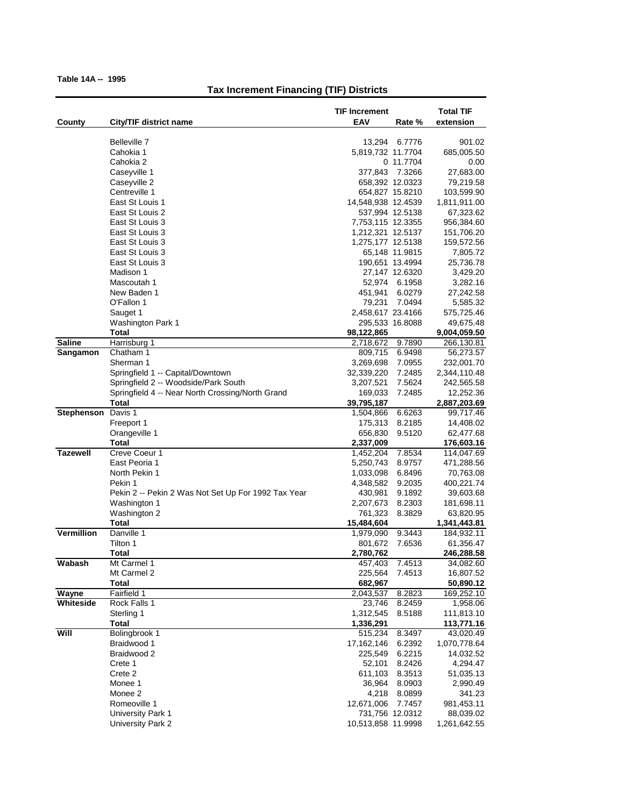|                    |                                                     | <b>TIF Increment</b>                     | <b>Total TIF</b>         |
|--------------------|-----------------------------------------------------|------------------------------------------|--------------------------|
| County             | City/TIF district name                              | EAV<br>Rate %                            | extension                |
|                    |                                                     |                                          |                          |
|                    | Belleville 7<br>Cahokia 1                           | 6.7776<br>13,294<br>5,819,732 11.7704    | 901.02<br>685,005.50     |
|                    | Cahokia 2                                           | 0 11.7704                                | 0.00                     |
|                    | Caseyville 1                                        | 377,843<br>7.3266                        | 27,683.00                |
|                    | Caseyville 2                                        | 658,392 12.0323                          | 79,219.58                |
|                    | Centreville 1                                       | 654,827 15.8210                          | 103,599.90               |
|                    | East St Louis 1                                     | 14,548,938 12.4539                       | 1,811,911.00             |
|                    | East St Louis 2                                     | 537,994 12.5138                          | 67,323.62                |
|                    | East St Louis 3                                     | 7,753,115 12.3355                        | 956,384.60               |
|                    | East St Louis 3<br>East St Louis 3                  | 1,212,321 12.5137<br>1,275,177 12.5138   | 151,706.20<br>159,572.56 |
|                    | East St Louis 3                                     | 65,148 11.9815                           | 7,805.72                 |
|                    | East St Louis 3                                     | 190,651 13.4994                          | 25,736.78                |
|                    | Madison 1                                           | 27,147 12.6320                           | 3,429.20                 |
|                    | Mascoutah 1                                         | 52,974<br>6.1958                         | 3,282.16                 |
|                    | New Baden 1                                         | 451,941<br>6.0279                        | 27,242.58                |
|                    | O'Fallon 1                                          | 7.0494<br>79,231                         | 5,585.32                 |
|                    | Sauget 1                                            | 2,458,617 23.4166                        | 575,725.46               |
|                    | <b>Washington Park 1</b>                            | 295,533 16.8088                          | 49,675.48                |
| <b>Saline</b>      | Total<br>Harrisburg 1                               | 98,122,865                               | 9,004,059.50             |
| Sangamon           | Chatham 1                                           | 9.7890<br>2,718,672<br>809,715<br>6.9498 | 266,130.81<br>56,273.57  |
|                    | Sherman 1                                           | 3,269,698<br>7.0955                      | 232,001.70               |
|                    | Springfield 1 -- Capital/Downtown                   | 7.2485<br>32,339,220                     | 2,344,110.48             |
|                    | Springfield 2 -- Woodside/Park South                | 3,207,521<br>7.5624                      | 242,565.58               |
|                    | Springfield 4 -- Near North Crossing/North Grand    | 169,033<br>7.2485                        | 12,252.36                |
|                    | Total                                               | 39,795,187                               | 2,887,203.69             |
| Stephenson Davis 1 |                                                     | 1,504,866<br>6.6263                      | 99,717.46                |
|                    | Freeport 1                                          | 175,313<br>8.2185                        | 14,408.02                |
|                    | Orangeville 1                                       | 656,830<br>9.5120                        | 62,477.68                |
| <b>Tazewell</b>    | Total<br>Creve Coeur 1                              | 2,337,009<br>1,452,204<br>7.8534         | 176,603.16<br>114,047.69 |
|                    | East Peoria 1                                       | 5,250,743<br>8.9757                      | 471,288.56               |
|                    | North Pekin 1                                       | 1,033,098<br>6.8496                      | 70,763.08                |
|                    | Pekin 1                                             | 4,348,582<br>9.2035                      | 400,221.74               |
|                    | Pekin 2 -- Pekin 2 Was Not Set Up For 1992 Tax Year | 430,981<br>9.1892                        | 39,603.68                |
|                    | Washington 1                                        | 2,207,673<br>8.2303                      | 181,698.11               |
|                    | Washington 2                                        | 761,323<br>8.3829                        | 63,820.95                |
|                    | <b>Total</b>                                        | 15,484,604                               | 1,341,443.81             |
| Vermillion         | Danville 1                                          | 9.3443<br>1,979,090                      | 184,932.11               |
|                    | Tilton 1<br>Total                                   | 801,672<br>7.6536<br>2,780,762           | 61,356.47<br>246,288.58  |
| Wabash             | Mt Carmel 1                                         | 457,403<br>7.4513                        | 34,082.60                |
|                    | Mt Carmel 2                                         | 225,564<br>7.4513                        | 16,807.52                |
|                    | <b>Total</b>                                        | 682,967                                  | 50,890.12                |
| Wayne              | Fairfield 1                                         | 2,043,537<br>8.2823                      | 169,252.10               |
| Whiteside          | Rock Falls 1                                        | 23,746<br>8.2459                         | 1,958.06                 |
|                    | Sterling 1                                          | 1,312,545<br>8.5188                      | 111,813.10               |
|                    | Total                                               | 1,336,291                                | 113,771.16               |
| Will               | Bolingbrook 1                                       | 515,234<br>8.3497                        | 43,020.49                |
|                    | Braidwood 1                                         | 17,162,146<br>6.2392                     | 1,070,778.64             |
|                    | Braidwood 2<br>Crete 1                              | 225,549<br>6.2215<br>52,101<br>8.2426    | 14,032.52<br>4,294.47    |
|                    | Crete 2                                             | 611,103<br>8.3513                        | 51,035.13                |
|                    | Monee 1                                             | 36,964<br>8.0903                         | 2,990.49                 |
|                    | Monee 2                                             | 4,218<br>8.0899                          | 341.23                   |
|                    | Romeoville 1                                        | 12,671,006<br>7.7457                     | 981,453.11               |
|                    | University Park 1                                   | 731,756 12.0312                          | 88,039.02                |
|                    | University Park 2                                   | 10,513,858 11.9998                       | 1,261,642.55             |